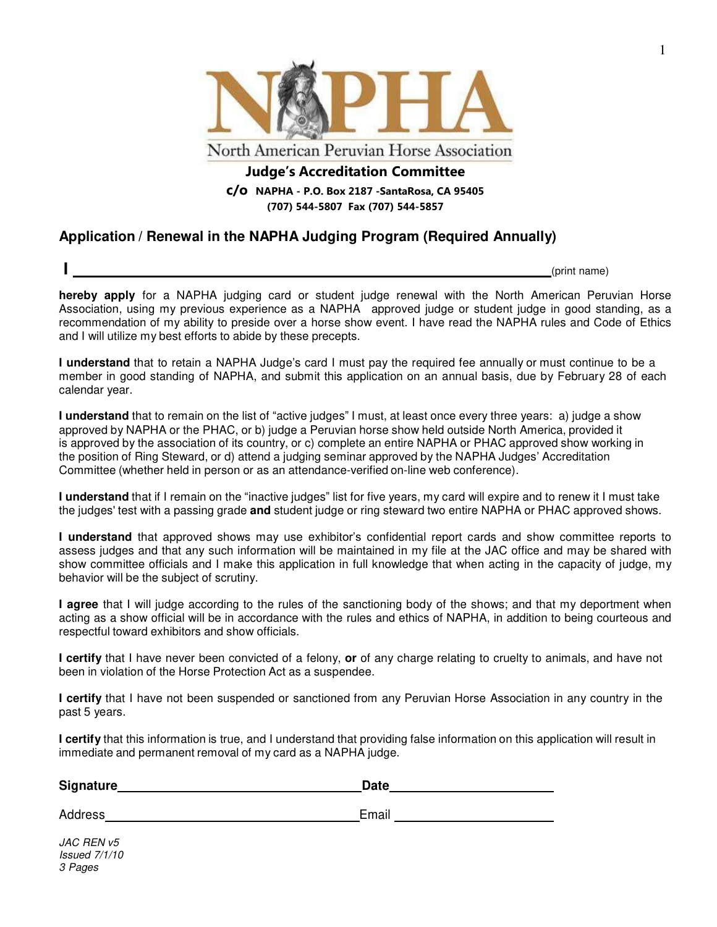

**Judge's Accreditation Committee c/o NAPHA - P.O. Box 2187 -SantaRosa, CA 95405 (707) 544-5807 Fax (707) 544-5857**

# **Application / Renewal in the NAPHA Judging Program (Required Annually)**

**I** (print name)

**hereby apply** for a NAPHA judging card or student judge renewal with the North American Peruvian Horse Association, using my previous experience as a NAPHA approved judge or student judge in good standing, as a recommendation of my ability to preside over a horse show event. I have read the NAPHA rules and Code of Ethics and I will utilize my best efforts to abide by these precepts.

**I understand** that to retain a NAPHA Judge's card I must pay the required fee annually or must continue to be a member in good standing of NAPHA, and submit this application on an annual basis, due by February 28 of each calendar year.

**I understand** that to remain on the list of "active judges" I must, at least once every three years: a) judge a show approved by NAPHA or the PHAC, or b) judge a Peruvian horse show held outside North America, provided it is approved by the association of its country, or c) complete an entire NAPHA or PHAC approved show working in the position of Ring Steward, or d) attend a judging seminar approved by the NAPHA Judges' Accreditation Committee (whether held in person or as an attendance-verified on-line web conference).

**I understand** that if I remain on the "inactive judges" list for five years, my card will expire and to renew it I must take the judges' test with a passing grade **and** student judge or ring steward two entire NAPHA or PHAC approved shows.

**I understand** that approved shows may use exhibitor's confidential report cards and show committee reports to assess judges and that any such information will be maintained in my file at the JAC office and may be shared with show committee officials and I make this application in full knowledge that when acting in the capacity of judge, my behavior will be the subject of scrutiny.

**I agree** that I will judge according to the rules of the sanctioning body of the shows; and that my deportment when acting as a show official will be in accordance with the rules and ethics of NAPHA, in addition to being courteous and respectful toward exhibitors and show officials.

**I certify** that I have never been convicted of a felony, **or** of any charge relating to cruelty to animals, and have not been in violation of the Horse Protection Act as a suspendee.

**I certify** that I have not been suspended or sanctioned from any Peruvian Horse Association in any country in the past 5 years.

**I certify** that this information is true, and I understand that providing false information on this application will result in immediate and permanent removal of my card as a NAPHA judge.

| <b>Signature</b> | Date  |  |
|------------------|-------|--|
| Address          | Email |  |
| JAC REN v5       |       |  |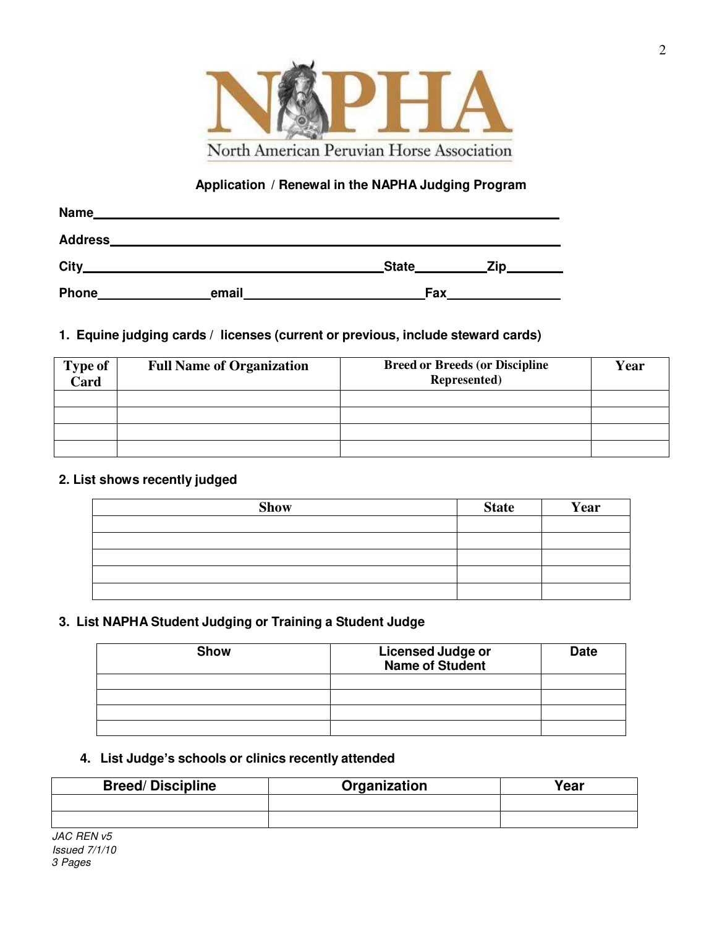

## **Application / Renewal in the NAPHA Judging Program**

| Name           |       |            |     |  |
|----------------|-------|------------|-----|--|
| <b>Address</b> |       |            |     |  |
| City           |       | State      | Zip |  |
| Phone          | email | <b>Fax</b> |     |  |

### **1. Equine judging cards / licenses (current or previous, include steward cards)**

| <b>Type of</b><br>Card | <b>Full Name of Organization</b> | <b>Breed or Breeds (or Discipline</b><br>Represented) | Year |
|------------------------|----------------------------------|-------------------------------------------------------|------|
|                        |                                  |                                                       |      |
|                        |                                  |                                                       |      |
|                        |                                  |                                                       |      |
|                        |                                  |                                                       |      |

## **2. List shows recently judged**

| <b>Show</b> | <b>State</b> | Year |
|-------------|--------------|------|
|             |              |      |
|             |              |      |
|             |              |      |
|             |              |      |
|             |              |      |

### **3. List NAPHA Student Judging or Training a Student Judge**

| <b>Show</b> | <b>Licensed Judge or</b><br><b>Name of Student</b> | <b>Date</b> |
|-------------|----------------------------------------------------|-------------|
|             |                                                    |             |
|             |                                                    |             |
|             |                                                    |             |
|             |                                                    |             |

#### **4. List Judge's schools or clinics recently attended**

| <b>Breed/Discipline</b>                 | Organization | Year |
|-----------------------------------------|--------------|------|
|                                         |              |      |
|                                         |              |      |
| $\overline{A}$ IAC REN $\overline{v}$ 5 |              |      |